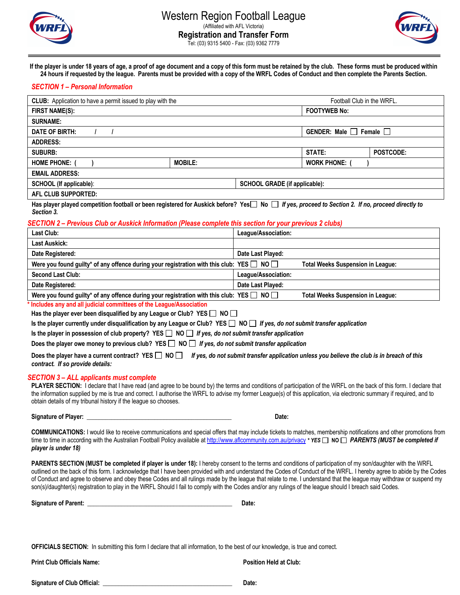



**If the player is under 18 years of age, a proof of age document and a copy of this form must be retained by the club. These forms must be produced within 24 hours if requested by the league. Parents must be provided with a copy of the WRFL Codes of Conduct and then complete the Parents Section.**

# *SECTION 1 – Personal Information*

| <b>CLUB:</b> Application to have a permit issued to play with the                                                                                           |                |                                      | Football Club in the WRFL.        |           |
|-------------------------------------------------------------------------------------------------------------------------------------------------------------|----------------|--------------------------------------|-----------------------------------|-----------|
| <b>FIRST NAME(S):</b>                                                                                                                                       |                |                                      | <b>FOOTYWEB No:</b>               |           |
| <b>SURNAME:</b>                                                                                                                                             |                |                                      |                                   |           |
| DATE OF BIRTH:                                                                                                                                              |                |                                      | GENDER: Male $\Box$ Female $\Box$ |           |
| <b>ADDRESS:</b>                                                                                                                                             |                |                                      |                                   |           |
| <b>SUBURB:</b>                                                                                                                                              |                |                                      | STATE:                            | POSTCODE: |
| <b>HOME PHONE:</b>                                                                                                                                          | <b>MOBILE:</b> |                                      | <b>WORK PHONE:</b>                |           |
| <b>EMAIL ADDRESS:</b>                                                                                                                                       |                |                                      |                                   |           |
| <b>SCHOOL (If applicable):</b>                                                                                                                              |                | <b>SCHOOL GRADE (if applicable):</b> |                                   |           |
| <b>AFL CLUB SUPPORTED:</b>                                                                                                                                  |                |                                      |                                   |           |
| Has player played competition football or been registered for Auskick before? Yes No If yes, proceed to Section 2. If no, proceed directly to<br>Section 3. |                |                                      |                                   |           |

# *SECTION 2 – Previous Club or Auskick Information (Please complete this section for your previous 2 clubs)*

| Last Club:                                                                                          | League/Association:                      |
|-----------------------------------------------------------------------------------------------------|------------------------------------------|
| <b>Last Auskick:</b>                                                                                |                                          |
| Date Registered:                                                                                    | Date Last Played:                        |
| Were you found guilty* of any offence during your registration with this club: YES $\Box$ NO $\Box$ | <b>Total Weeks Suspension in League:</b> |
| <b>Second Last Club:</b>                                                                            | League/Association:                      |
| Date Registered:                                                                                    | Date Last Played:                        |
| Were you found guilty* of any offence during your registration with this club: YES $\Box$ NO $\Box$ | <b>Total Weeks Suspension in League:</b> |

**\* Includes any and all judicial committees of the League/Association**

Has the player ever been disqualified by any League or Club? YES  $\Box$  NO  $\Box$ 

Is the player currently under disqualification by any League or Club? YES  $\Box$  NO  $\Box$  If yes, do not submit transfer application

**Is the player in possession of club property? YES NO** *If yes, do not submit transfer application*

Does the player owe money to previous club? YES **□ NO □** *If yes, do not submit transfer application* 

Does the player have a current contract? YES  $\Box$  NO  $\Box$  *If yes, do not submit transfer application unless you believe the club is in breach of this contract. If so provide details:* 

## *SECTION 3 – ALL applicants must complete*

**PLAYER SECTION:** I declare that I have read (and agree to be bound by) the terms and conditions of participation of the WRFL on the back of this form. I declare that the information supplied by me is true and correct. I authorise the WRFL to advise my former League(s) of this application, via electronic summary if required, and to obtain details of my tribunal history if the league so chooses.

**Signature of Player: \_\_\_\_\_\_\_\_\_\_\_\_\_\_\_\_\_\_\_\_\_\_\_\_\_\_\_\_\_\_\_\_\_\_\_\_\_\_\_\_\_\_\_\_\_\_\_ Date:** 

**COMMUNICATIONS:** I would like to receive communications and special offers that may include tickets to matches, membership notifications and other promotions from time to time in according with the Australian Football Policy available at http://www.aflcommunity.com.au/privacy *\* YES* **NO** *PARENTS (MUST be completed if player is under 18)*

**PARENTS SECTION (MUST be completed if player is under 18):** I hereby consent to the terms and conditions of participation of my son/daughter with the WRFL outlined on the back of this form. I acknowledge that I have been provided with and understand the Codes of Conduct of the WRFL. I hereby agree to abide by the Codes of Conduct and agree to observe and obey these Codes and all rulings made by the league that relate to me. I understand that the league may withdraw or suspend my son(s)/daughter(s) registration to play in the WRFL Should I fail to comply with the Codes and/or any rulings of the league should I breach said Codes.

**Signature of Parent: \_\_\_\_\_\_\_\_\_\_\_\_\_\_\_\_\_\_\_\_\_\_\_\_\_\_\_\_\_\_\_\_\_\_\_\_\_\_\_\_\_\_\_\_\_\_\_ Date:** 

**OFFICIALS SECTION:** In submitting this form I declare that all information, to the best of our knowledge, is true and correct.

**Print Club Officials Name: Position Held at Club:** 

| <b>Signature of Club Official:</b> | Date: |
|------------------------------------|-------|
|                                    |       |